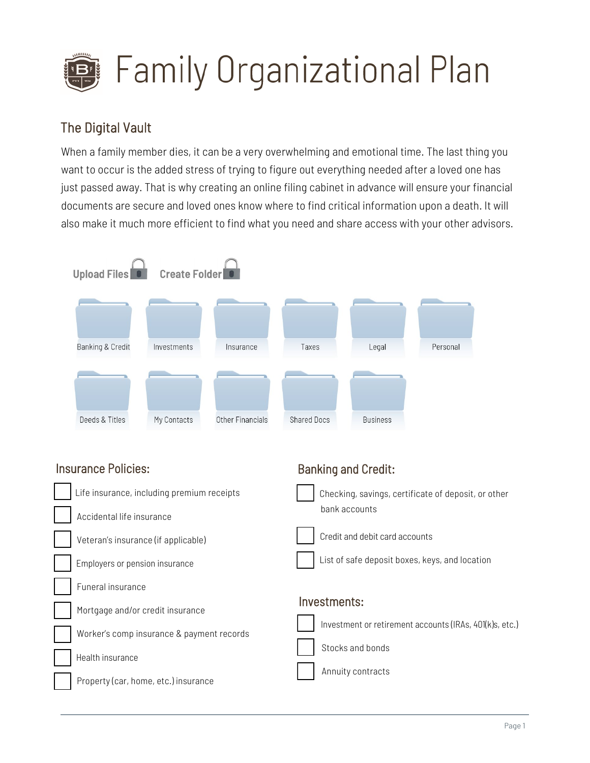

### The Digital Vault

When a family member dies, it can be a very overwhelming and emotional time. The last thing you want to occur is the added stress of trying to figure out everything needed after a loved one has just passed away. That is why creating an online filing cabinet in advance will ensure your financial documents are secure and loved ones know where to find critical information upon a death. It will also make it much more efficient to find what you need and share access with your other advisors.



#### Insurance Policies:



Banking and Credit: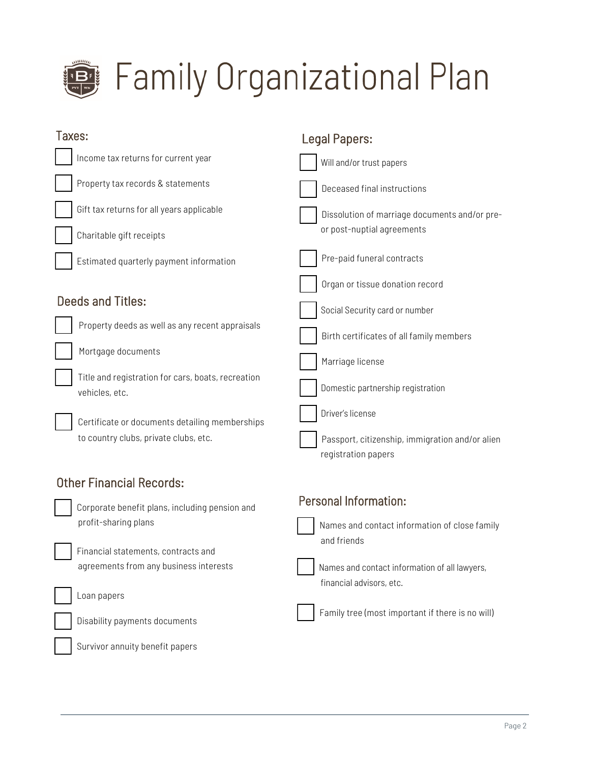

| Taxes:                                                                                  | <b>Legal Papers:</b>                                                      |
|-----------------------------------------------------------------------------------------|---------------------------------------------------------------------------|
| Income tax returns for current year                                                     | Will and/or trust papers                                                  |
| Property tax records & statements                                                       | Deceased final instructions                                               |
| Gift tax returns for all years applicable                                               | Dissolution of marriage documents and/or pre-                             |
| Charitable gift receipts                                                                | or post-nuptial agreements                                                |
| Estimated quarterly payment information                                                 | Pre-paid funeral contracts                                                |
|                                                                                         | Organ or tissue donation record                                           |
| <b>Deeds and Titles:</b>                                                                | Social Security card or number                                            |
| Property deeds as well as any recent appraisals                                         | Birth certificates of all family members                                  |
| Mortgage documents                                                                      | Marriage license                                                          |
| Title and registration for cars, boats, recreation<br>vehicles, etc.                    | Domestic partnership registration                                         |
| Certificate or documents detailing memberships<br>to country clubs, private clubs, etc. | Driver's license<br>Passport, citizenship, immigration and/or alien       |
|                                                                                         | registration papers                                                       |
| <b>Other Financial Records:</b>                                                         |                                                                           |
| Corporate benefit plans, including pension and                                          | Personal Information:                                                     |
| profit-sharing plans                                                                    | Names and contact information of close family                             |
| Financial statements, contracts and                                                     | and friends                                                               |
| agreements from any business interests                                                  | Names and contact information of all lawyers,<br>financial advisors, etc. |
| Loan papers                                                                             |                                                                           |
| Disability payments documents                                                           | Family tree (most important if there is no will)                          |
| Survivor annuity benefit papers                                                         |                                                                           |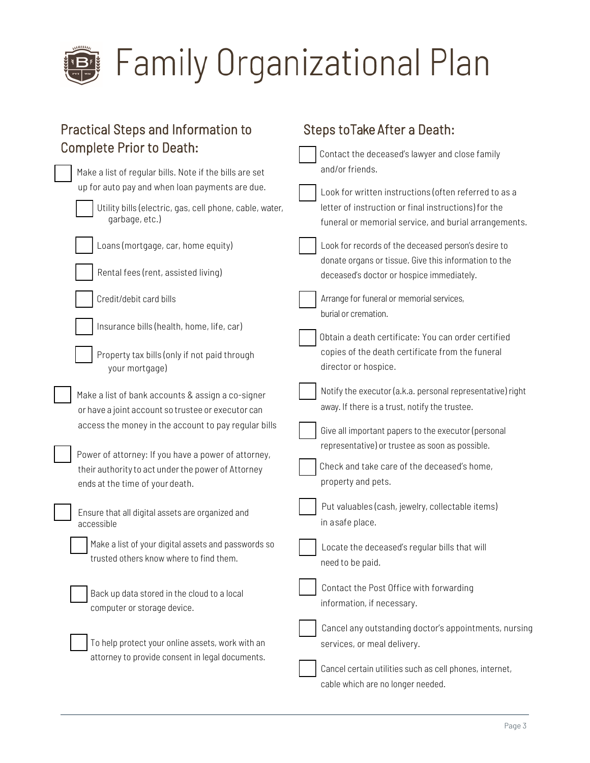

## **Family Organizational Plan**

| <b>Practical Steps and Information to</b>                                                                                                    | Steps to Take After a Death:                                                                                                                                           |
|----------------------------------------------------------------------------------------------------------------------------------------------|------------------------------------------------------------------------------------------------------------------------------------------------------------------------|
| <b>Complete Prior to Death:</b>                                                                                                              | Contact the deceased's lawyer and close family                                                                                                                         |
| Make a list of regular bills. Note if the bills are set                                                                                      | and/or friends.                                                                                                                                                        |
| up for auto pay and when loan payments are due.<br>Utility bills (electric, gas, cell phone, cable, water,<br>garbage, etc.)                 | Look for written instructions (often referred to as a<br>letter of instruction or final instructions) for the<br>funeral or memorial service, and burial arrangements. |
| Loans (mortgage, car, home equity)                                                                                                           | Look for records of the deceased person's desire to<br>donate organs or tissue. Give this information to the                                                           |
| Rental fees (rent, assisted living)                                                                                                          | deceased's doctor or hospice immediately.                                                                                                                              |
| Credit/debit card bills                                                                                                                      | Arrange for funeral or memorial services,<br>burial or cremation.                                                                                                      |
| Insurance bills (health, home, life, car)                                                                                                    | Obtain a death certificate: You can order certified                                                                                                                    |
| Property tax bills (only if not paid through<br>your mortgage)                                                                               | copies of the death certificate from the funeral<br>director or hospice.                                                                                               |
| Make a list of bank accounts & assign a co-signer<br>or have a joint account so trustee or executor can                                      | Notify the executor (a.k.a. personal representative) right<br>away. If there is a trust, notify the trustee.                                                           |
| access the money in the account to pay regular bills                                                                                         | Give all important papers to the executor (personal<br>representative) or trustee as soon as possible.                                                                 |
| Power of attorney: If you have a power of attorney,<br>their authority to act under the power of Attorney<br>ends at the time of your death. | Check and take care of the deceased's home,<br>property and pets.                                                                                                      |
| Ensure that all digital assets are organized and<br>accessible                                                                               | Put valuables (cash, jewelry, collectable items)<br>in asafe place.                                                                                                    |
| Make a list of your digital assets and passwords so<br>trusted others know where to find them.                                               | Locate the deceased's regular bills that will<br>need to be paid.                                                                                                      |
| Back up data stored in the cloud to a local<br>computer or storage device.                                                                   | Contact the Post Office with forwarding<br>information, if necessary.                                                                                                  |
| To help protect your online assets, work with an<br>attorney to provide consent in legal documents.                                          | Cancel any outstanding doctor's appointments, nursing<br>services, or meal delivery.                                                                                   |
|                                                                                                                                              | Cancel certain utilities such as cell phones, internet,<br>cable which are no longer needed.                                                                           |